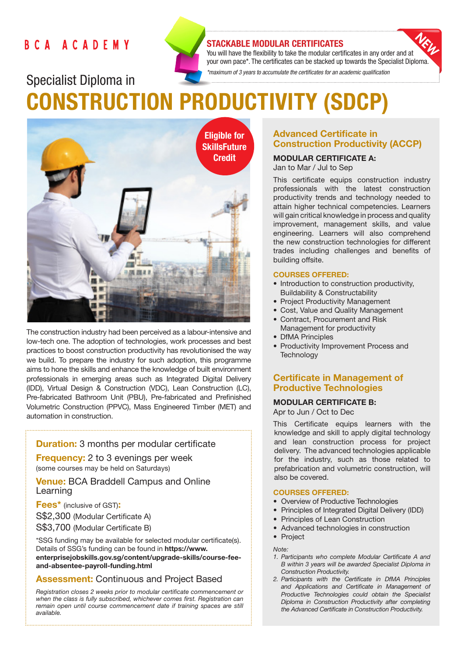# **BCA ACADEMY**



# STACKABLE MODULAR CERTIFICATES

You will have the flexibility to take the modular certificates in any order and at your own pace\*. The certificates can be stacked up towards the Specialist Diploma. *\*maximum of 3 years to accumulate the certificates for an academic qualification* 

Specialist Diploma in CONSTRUCTION PRODUCTIVITY (SDCP)



The construction industry had been perceived as a labour-intensive and low-tech one. The adoption of technologies, work processes and best practices to boost construction productivity has revolutionised the way we build. To prepare the industry for such adoption, this programme aims to hone the skills and enhance the knowledge of built environment professionals in emerging areas such as Integrated Digital Delivery (IDD), Virtual Design & Construction (VDC), Lean Construction (LC), Pre-fabricated Bathroom Unit (PBU), Pre-fabricated and Prefinished Volumetric Construction (PPVC), Mass Engineered Timber (MET) and automation in construction.

# **Duration:** 3 months per modular certificate

**Frequency:** 2 to 3 evenings per week (some courses may be held on Saturdays)

**Venue: BCA Braddell Campus and Online** Learning

Fees\* (inclusive of GST): S\$2,300 (Modular Certificate A) S\$3,700 (Modular Certificate B)

\*SSG funding may be available for selected modular certificate(s). Details of SSG's funding can be found in https://www. enterprisejobskills.gov.sg/content/upgrade-skills/course-feeand-absentee-payroll-funding.html

# **Assessment: Continuous and Project Based**

*Registration closes 2 weeks prior to modular certificate commencement or when the class is fully subscribed, whichever comes first. Registration can remain open until course commencement date if training spaces are still available.*

# Advanced Certificate in Construction Productivity (ACCP)

# MODULAR CERTIFICATE A:

Jan to Mar / Jul to Sep

This certificate equips construction industry professionals with the latest construction productivity trends and technology needed to attain higher technical competencies. Learners will gain critical knowledge in process and quality improvement, management skills, and value engineering. Learners will also comprehend the new construction technologies for different trades including challenges and benefits of building offsite.

#### COURSES OFFERED:

- Introduction to construction productivity, Buildability & Constructability
- Project Productivity Management
- Cost, Value and Quality Management
- Contract, Procurement and Risk Management for productivity
- DfMA Principles
- Productivity Improvement Process and **Technology**

# Certificate in Management of Productive Technologies

## MODULAR CERTIFICATE B:

Apr to Jun / Oct to Dec

This Certificate equips learners with the knowledge and skill to apply digital technology and lean construction process for project delivery. The advanced technologies applicable for the industry, such as those related to prefabrication and volumetric construction, will also be covered.

### COURSES OFFERED:

- Overview of Productive Technologies
- Principles of Integrated Digital Delivery (IDD)
- Principles of Lean Construction
- Advanced technologies in construction
- Project

*Note:* 

- *1. Participants who complete Modular Certificate A and B within 3 years will be awarded Specialist Diploma in Construction Productivity.*
- *2. Participants with the Certificate in DfMA Principles and Applications and Certificate in Management of Productive Technologies could obtain the Specialist Diploma in Construction Productivity after completing the Advanced Certificate in Construction Productivity.*